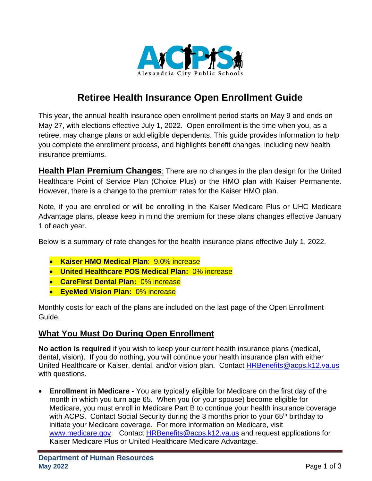

## **Retiree Health Insurance Open Enrollment Guide**

This year, the annual health insurance open enrollment period starts on May 9 and ends on May 27, with elections effective July 1, 2022. Open enrollment is the time when you, as a retiree, may change plans or add eligible dependents. This guide provides information to help you complete the enrollment process, and highlights benefit changes, including new health insurance premiums.

**Health Plan Premium Changes**: There are no changes in the plan design for the United Healthcare Point of Service Plan (Choice Plus) or the HMO plan with Kaiser Permanente. However, there is a change to the premium rates for the Kaiser HMO plan.

Note, if you are enrolled or will be enrolling in the Kaiser Medicare Plus or UHC Medicare Advantage plans, please keep in mind the premium for these plans changes effective January 1 of each year.

Below is a summary of rate changes for the health insurance plans effective July 1, 2022.

- **Kaiser HMO Medical Plan**: 9.0% increase
- **United Healthcare POS Medical Plan:** 0% increase
- **CareFirst Dental Plan:** 0% increase
- **EyeMed Vision Plan:** 0% increase

Monthly costs for each of the plans are included on the last page of the Open Enrollment Guide.

## **What You Must Do During Open Enrollment**

**No action is required** if you wish to keep your current health insurance plans (medical, dental, vision). If you do nothing, you will continue your health insurance plan with either United Healthcare or Kaiser, dental, and/or vision plan. Contact [HRBenefits@acps.k12.va.us](mailto:HRBenefits@acps.k12.va.us) with questions.

• **Enrollment in Medicare -** You are typically eligible for Medicare on the first day of the month in which you turn age 65. When you (or your spouse) become eligible for Medicare, you must enroll in Medicare Part B to continue your health insurance coverage with ACPS. Contact Social Security during the 3 months prior to your 65<sup>th</sup> birthday to initiate your Medicare coverage. For more information on Medicare, visit [www.medicare.gov.](http://www.medicare.gov/) Contact [HRBenefits@acps.k12.va.us](mailto:HRBenefits@acps.k12.va.us) and request applications for Kaiser Medicare Plus or United Healthcare Medicare Advantage.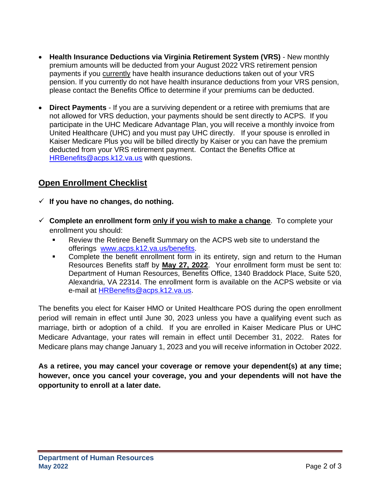- **Health Insurance Deductions via Virginia Retirement System (VRS)** New monthly premium amounts will be deducted from your August 2022 VRS retirement pension payments if you currently have health insurance deductions taken out of your VRS pension. If you currently do not have health insurance deductions from your VRS pension, please contact the Benefits Office to determine if your premiums can be deducted.
- **Direct Payments** If you are a surviving dependent or a retiree with premiums that are not allowed for VRS deduction, your payments should be sent directly to ACPS. If you participate in the UHC Medicare Advantage Plan, you will receive a monthly invoice from United Healthcare (UHC) and you must pay UHC directly. If your spouse is enrolled in Kaiser Medicare Plus you will be billed directly by Kaiser or you can have the premium deducted from your VRS retirement payment. Contact the Benefits Office at [HRBenefits@acps.k12.va.us](mailto:HRBenefits@acps.k12.va.us) with questions.

## **Open Enrollment Checklist**

- ✓ **If you have no changes, do nothing.**
- ✓ **Complete an enrollment form only if you wish to make a change**. To complete your enrollment you should:
	- Review the Retiree Benefit Summary on the ACPS web site to understand the offerings [www.acps.k12.va.us/benefits.](http://www.acps.k12.va.us/benefits)
	- Complete the benefit enrollment form in its entirety, sign and return to the Human Resources Benefits staff by **May 27, 2022**. Your enrollment form must be sent to: Department of Human Resources, Benefits Office, 1340 Braddock Place, Suite 520, Alexandria, VA 22314. The enrollment form is available on the ACPS website or via e-mail at **HRBenefits@acps.k12.va.us.**

The benefits you elect for Kaiser HMO or United Healthcare POS during the open enrollment period will remain in effect until June 30, 2023 unless you have a qualifying event such as marriage, birth or adoption of a child. If you are enrolled in Kaiser Medicare Plus or UHC Medicare Advantage, your rates will remain in effect until December 31, 2022. Rates for Medicare plans may change January 1, 2023 and you will receive information in October 2022.

**As a retiree, you may cancel your coverage or remove your dependent(s) at any time; however, once you cancel your coverage, you and your dependents will not have the opportunity to enroll at a later date.**